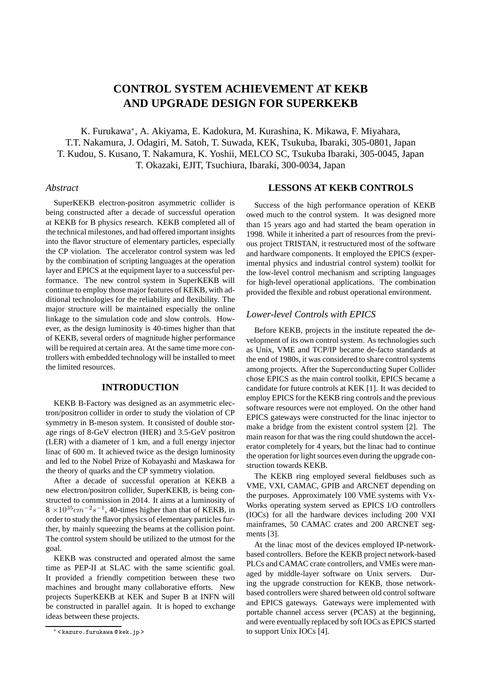# **CONTROL SYSTEM ACHIEVEMENT AT KEKB AND UPGRADE DESIGN FOR SUPERKEKB**

K. Furukawa<sup>∗</sup> , A. Akiyama, E. Kadokura, M. Kurashina, K. Mikawa, F. Miyahara, T.T. Nakamura, J. Odagiri, M. Satoh, T. Suwada, KEK, Tsukuba, Ibaraki, 305-0801, Japan T. Kudou, S. Kusano, T. Nakamura, K. Yoshii, MELCO SC, Tsukuba Ibaraki, 305-0045, Japan T. Okazaki, EJIT, Tsuchiura, Ibaraki, 300-0034, Japan

#### *Abstract*

SuperKEKB electron-positron asymmetric collider is being constructed after a decade of successful operation at KEKB for B physics research. KEKB completed all of the technical milestones, and had offered important insights into the flavor structure of elementary particles, especially the CP violation. The accelerator control system was led by the combination of scripting languages at the operation layer and EPICS at the equipment layer to a successful performance. The new control system in SuperKEKB will continue to employ those major features of KEKB, with additional technologies for the reliability and flexibility. The major structure will be maintained especially the online linkage to the simulation code and slow controls. However, as the design luminosity is 40-times higher than that of KEKB, several orders of magnitude higher performance will be required at certain area. At the same time more controllers with embedded technology will be installed to meet the limited resources.

## **INTRODUCTION**

KEKB B-Factory was designed as an asymmetric electron/positron collider in order to study the violation of CP symmetry in B-meson system. It consisted of double storage rings of 8-GeV electron (HER) and 3.5-GeV positron (LER) with a diameter of 1 km, and a full energy injector linac of 600 m. It achieved twice as the design luminosity and led to the Nobel Prize of Kobayashi and Maskawa for the theory of quarks and the CP symmetry violation.

After a decade of successful operation at KEKB a new electron/positron collider, SuperKEKB, is being constructed to commission in 2014. It aims at a luminosity of  $8 \times 10^{35}$  cm<sup>-2</sup>s<sup>-1</sup>, 40-times higher than that of KEKB, in order to study the flavor physics of elementary particles further, by mainly squeezing the beams at the collision point. The control system should be utilized to the utmost for the goal.

KEKB was constructed and operated almost the same time as PEP-II at SLAC with the same scientific goal. It provided a friendly competition between these two machines and brought many collaborative efforts. New projects SuperKEKB at KEK and Super B at INFN will be constructed in parallel again. It is hoped to exchange ideas between these projects.

#### **LESSONS AT KEKB CONTROLS**

Success of the high performance operation of KEKB owed much to the control system. It was designed more than 15 years ago and had started the beam operation in 1998. While it inherited a part of resources from the previous project TRISTAN, it restructured most of the software and hardware components. It employed the EPICS (experimental physics and industrial control system) toolkit for the low-level control mechanism and scripting languages for high-level operational applications. The combination provided the flexible and robust operational environment.

## *Lower-level Controls with EPICS*

Before KEKB, projects in the institute repeated the development of its own control system. As technologies such as Unix, VME and TCP/IP became de-facto standards at the end of 1980s, it was considered to share control systems among projects. After the Superconducting Super Collider chose EPICS as the main control toolkit, EPICS became a candidate for future controls at KEK [1]. It was decided to employ EPICS for the KEKB ring controls and the previous software resources were not employed. On the other hand EPICS gateways were constructed for the linac injector to make a bridge from the existent control system [2]. The main reason for that was the ring could shutdown the accelerator completely for 4 years, but the linac had to continue the operation for light sources even during the upgrade construction towards KEKB.

The KEKB ring employed several fieldbuses such as VME, VXI, CAMAC, GPIB and ARCNET depending on the purposes. Approximately 100 VME systems with Vx-Works operating system served as EPICS I/O controllers (IOCs) for all the hardware devices including 200 VXI mainframes, 50 CAMAC crates and 200 ARCNET segments [3].

At the linac most of the devices employed IP-networkbased controllers. Before the KEKB project network-based PLCs and CAMAC crate controllers, and VMEs were managed by middle-layer software on Unix servers. During the upgrade construction for KEKB, those networkbased controllers were shared between old control software and EPICS gateways. Gateways were implemented with portable channel access server (PCAS) at the beginning, and were eventually replaced by soft IOCs as EPICS started to support Unix IOCs [4].

<sup>∗</sup> < kazuro.furukawa @ kek.jp >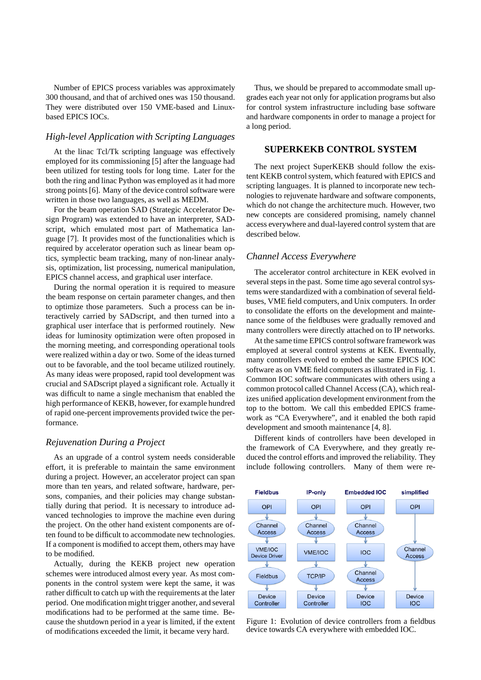Number of EPICS process variables was approximately 300 thousand, and that of archived ones was 150 thousand. They were distributed over 150 VME-based and Linuxbased EPICS IOCs.

## *High-level Application with Scripting Languages*

At the linac Tcl/Tk scripting language was effectively employed for its commissioning [5] after the language had been utilized for testing tools for long time. Later for the both the ring and linac Python was employed as it had more strong points [6]. Many of the device control software were written in those two languages, as well as MEDM.

For the beam operation SAD (Strategic Accelerator Design Program) was extended to have an interpreter, SADscript, which emulated most part of Mathematica language [7]. It provides most of the functionalities which is required by accelerator operation such as linear beam optics, symplectic beam tracking, many of non-linear analysis, optimization, list processing, numerical manipulation, EPICS channel access, and graphical user interface.

During the normal operation it is required to measure the beam response on certain parameter changes, and then to optimize those parameters. Such a process can be interactively carried by SADscript, and then turned into a graphical user interface that is performed routinely. New ideas for luminosity optimization were often proposed in the morning meeting, and corresponding operational tools were realized within a day or two. Some of the ideas turned out to be favorable, and the tool became utilized routinely. As many ideas were proposed, rapid tool development was crucial and SADscript played a significant role. Actually it was difficult to name a single mechanism that enabled the high performance of KEKB, however, for example hundred of rapid one-percent improvements provided twice the performance.

## *Rejuvenation During a Project*

As an upgrade of a control system needs considerable effort, it is preferable to maintain the same environment during a project. However, an accelerator project can span more than ten years, and related software, hardware, persons, companies, and their policies may change substantially during that period. It is necessary to introduce advanced technologies to improve the machine even during the project. On the other hand existent components are often found to be difficult to accommodate new technologies. If a component is modified to accept them, others may have to be modified.

Actually, during the KEKB project new operation schemes were introduced almost every year. As most components in the control system were kept the same, it was rather difficult to catch up with the requirements at the later period. One modification might trigger another, and several modifications had to be performed at the same time. Because the shutdown period in a year is limited, if the extent of modifications exceeded the limit, it became very hard.

Thus, we should be prepared to accommodate small upgrades each year not only for application programs but also for control system infrastructure including base software and hardware components in order to manage a project for a long period.

#### **SUPERKEKB CONTROL SYSTEM**

The next project SuperKEKB should follow the existent KEKB control system, which featured with EPICS and scripting languages. It is planned to incorporate new technologies to rejuvenate hardware and software components, which do not change the architecture much. However, two new concepts are considered promising, namely channel access everywhere and dual-layered control system that are described below.

## *Channel Access Everywhere*

The accelerator control architecture in KEK evolved in several steps in the past. Some time ago several control systems were standardized with a combination of several fieldbuses, VME field computers, and Unix computers. In order to consolidate the efforts on the development and maintenance some of the fieldbuses were gradually removed and many controllers were directly attached on to IP networks.

At the same time EPICS control software framework was employed at several control systems at KEK. Eventually, many controllers evolved to embed the same EPICS IOC software as on VME field computers as illustrated in Fig. 1. Common IOC software communicates with others using a common protocol called Channel Access (CA), which realizes unified application development environment from the top to the bottom. We call this embedded EPICS framework as "CA Everywhere", and it enabled the both rapid development and smooth maintenance [4, 8].

Different kinds of controllers have been developed in the framework of CA Everywhere, and they greatly reduced the control efforts and improved the reliability. They include following controllers. Many of them were re-



Figure 1: Evolution of device controllers from a fieldbus device towards CA everywhere with embedded IOC.